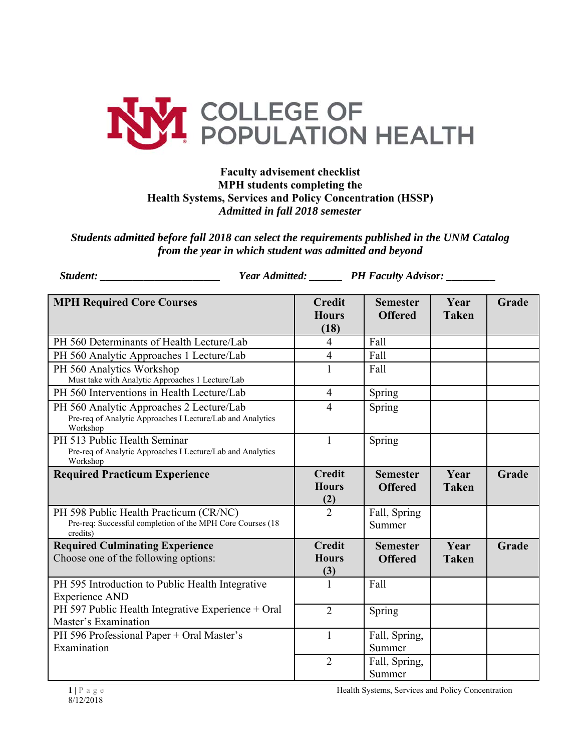

## **Faculty advisement checklist MPH students completing the Health Systems, Services and Policy Concentration (HSSP)**  *Admitted in fall 2018 semester*

*Students admitted before fall 2018 can select the requirements published in the UNM Catalog from the year in which student was admitted and beyond* 

*Student: \_\_\_\_\_\_\_\_\_\_\_\_\_\_\_\_\_\_\_\_\_\_ Year Admitted: \_\_\_\_\_\_ PH Faculty Advisor: \_\_\_\_\_\_\_\_\_* 

| <b>MPH Required Core Courses</b>                                                                                   | <b>Credit</b>                        | <b>Semester</b>                   | Year                 | Grade |
|--------------------------------------------------------------------------------------------------------------------|--------------------------------------|-----------------------------------|----------------------|-------|
|                                                                                                                    | <b>Hours</b>                         | <b>Offered</b>                    | <b>Taken</b>         |       |
| PH 560 Determinants of Health Lecture/Lab                                                                          | (18)<br>$\overline{4}$               | Fall                              |                      |       |
| PH 560 Analytic Approaches 1 Lecture/Lab                                                                           | $\overline{4}$                       | Fall                              |                      |       |
| PH 560 Analytics Workshop<br>Must take with Analytic Approaches 1 Lecture/Lab                                      | $\mathbf{1}$                         | Fall                              |                      |       |
| PH 560 Interventions in Health Lecture/Lab                                                                         | $\overline{4}$                       | Spring                            |                      |       |
| PH 560 Analytic Approaches 2 Lecture/Lab<br>Pre-req of Analytic Approaches I Lecture/Lab and Analytics<br>Workshop | $\overline{4}$                       | Spring                            |                      |       |
| PH 513 Public Health Seminar<br>Pre-req of Analytic Approaches I Lecture/Lab and Analytics<br>Workshop             | $\mathbf{1}$                         | Spring                            |                      |       |
| <b>Required Practicum Experience</b>                                                                               | <b>Credit</b><br><b>Hours</b><br>(2) | <b>Semester</b><br><b>Offered</b> | Year<br><b>Taken</b> | Grade |
| PH 598 Public Health Practicum (CR/NC)<br>Pre-req: Successful completion of the MPH Core Courses (18<br>credits)   | $\overline{2}$                       | Fall, Spring<br>Summer            |                      |       |
| <b>Required Culminating Experience</b><br>Choose one of the following options:                                     | <b>Credit</b><br><b>Hours</b><br>(3) | <b>Semester</b><br><b>Offered</b> | Year<br><b>Taken</b> | Grade |
| PH 595 Introduction to Public Health Integrative<br><b>Experience AND</b>                                          | 1                                    | Fall                              |                      |       |
| PH 597 Public Health Integrative Experience + Oral<br>Master's Examination                                         | $\overline{2}$                       | Spring                            |                      |       |
| PH 596 Professional Paper + Oral Master's<br>Examination                                                           | 1                                    | Fall, Spring,<br>Summer           |                      |       |
|                                                                                                                    | $\overline{2}$                       | Fall, Spring,<br>Summer           |                      |       |